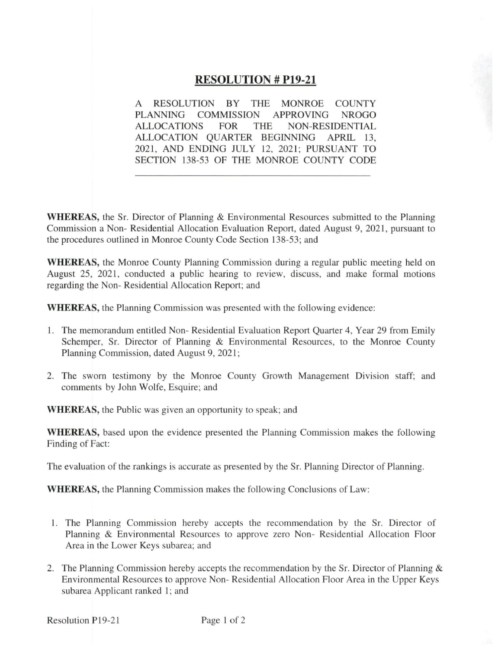## **RESOLUTION # P19-21**

RESOLUTION BY THE MONROE COUNTY  $\mathsf{A}$ PLANNING COMMISSION APPROVING NROGO **ALLOCATIONS FOR THE NON-RESIDENTIAL** ALLOCATION QUARTER BEGINNING APRIL 13, 2021, AND ENDING JULY 12, 2021; PURSUANT TO SECTION 138-53 OF THE MONROE COUNTY CODE

**WHEREAS**, the Sr. Director of Planning & Environmental Resources submitted to the Planning Commission a Non-Residential Allocation Evaluation Report, dated August 9, 2021, pursuant to the procedures outlined in Monroe County Code Section 138-53; and

**WHEREAS**, the Monroe County Planning Commission during a regular public meeting held on August 25, 2021, conducted a public hearing to review, discuss, and make formal motions regarding the Non-Residential Allocation Report; and

**WHEREAS**, the Planning Commission was presented with the following evidence:

- 1. The memorandum entitled Non-Residential Evaluation Report Quarter 4, Year 29 from Emily Schemper, Sr. Director of Planning & Environmental Resources, to the Monroe County Planning Commission, dated August 9, 2021;
- 2. The sworn testimony by the Monroe County Growth Management Division staff; and comments by John Wolfe, Esquire; and

**WHEREAS**, the Public was given an opportunity to speak; and

**WHEREAS**, based upon the evidence presented the Planning Commission makes the following Finding of Fact:

The evaluation of the rankings is accurate as presented by the Sr. Planning Director of Planning.

**WHEREAS,** the Planning Commission makes the following Conclusions of Law:

- 1. The Planning Commission hereby accepts the recommendation by the Sr. Director of Planning & Environmental Resources to approve zero Non- Residential Allocation Floor Area in the Lower Keys subarea; and
- 2. The Planning Commission hereby accepts the recommendation by the Sr. Director of Planning & Environmental Resources to approve Non-Residential Allocation Floor Area in the Upper Keys subarea Applicant ranked 1; and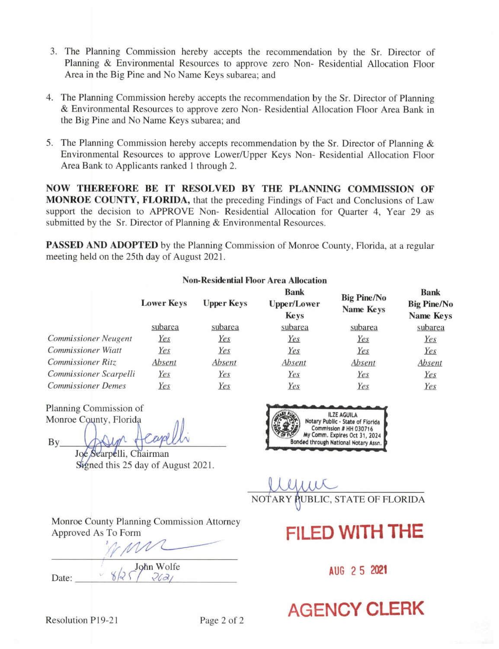- 3. The Planning Commission hereby accepts the recommendation by the Sr. Director of Planning & Environmental Resources to approve zero Non- Residential Allocation Floor Area in the Big Pine and No Name Keys subarea; and
- 4. The Planning Commission hereby accepts the recommendation by the Sr. Director of Planning & Environmental Resources to approve zero Non-Residential Allocation Floor Area Bank in the Big Pine and No Name Keys subarea; and
- 5. The Planning Commission hereby accepts recommendation by the Sr. Director of Planning & Environmental Resources to approve Lower/Upper Keys Non- Residential Allocation Floor Area Bank to Applicants ranked 1 through 2.

NOW THEREFORE BE IT RESOLVED BY THE PLANNING COMMISSION OF **MONROE COUNTY, FLORIDA**, that the preceding Findings of Fact and Conclusions of Law support the decision to APPROVE Non-Residential Allocation for Quarter 4, Year 29 as submitted by the Sr. Director of Planning & Environmental Resources.

**PASSED AND ADOPTED** by the Planning Commission of Monroe County, Florida, at a regular meeting held on the 25th day of August 2021.

|                             |                   |                   | <b>Non-Residential Floor Area Allocation</b>     |                                 |                                                |
|-----------------------------|-------------------|-------------------|--------------------------------------------------|---------------------------------|------------------------------------------------|
|                             | <b>Lower Keys</b> | <b>Upper Keys</b> | <b>Bank</b><br><b>Upper/Lower</b><br><b>Keys</b> | <b>Big Pine/No</b><br>Name Keys | <b>Bank</b><br><b>Big Pine/No</b><br>Name Keys |
|                             | subarea           | subarea           | subarea                                          | subarea                         | subarea                                        |
| <b>Commissioner Neugent</b> | <u>Yes</u>        | Yes               | Yes                                              | <u>Yes</u>                      | Yes                                            |
| <b>Commissioner Wiatt</b>   | <u>Yes</u>        | <u>Yes</u>        | <u>Yes</u>                                       | Yes                             | Yes                                            |
| <b>Commissioner Ritz</b>    | Absent            | Absent            | Absent                                           | Absent                          | Absent                                         |
| Commissioner Scarpelli      | Yes               | Yes               | Yes                                              | Yes                             | Yes                                            |
| <b>Commissioner Demes</b>   | Yes               | Yes               | Yes                                              | Yes                             | Yes                                            |

Planning Commission of Monroe County, Florida

By

Joe Searpelli, Chairman Signed this 25 day of August 2021.



AUBLIC, STATE OF FLORIDA **NOTARY** 

## FILED WITH THE

AUG 2 5 2021

**AGENCY CLERK** 

Monroe County Planning Commission Attorney Approved As To Form

 $8/2$  John Wolfe

Date: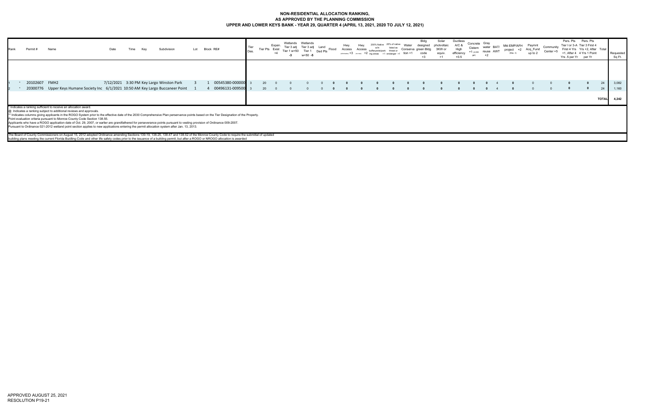## **NON-RESIDENTIAL ALLOCATION RANKING, AS APPROVED BY THE PLANNING COMMISSIONUPPER AND LOWER KEYS BANK - YEAR 29, QUARTER 4 (APRIL 13, 2021, 2020 TO JULY 12, 2021)**

| 20102607 FMH2<br>00545380-000000<br>7/12/2021 3:30 PM Key Largo Winston Park<br>00496131-009500<br>20300776 Upper Keys Humane Society Inc 6/1/2021 10:50 AM Key Largo Buccaneer Point |
|---------------------------------------------------------------------------------------------------------------------------------------------------------------------------------------|
|                                                                                                                                                                                       |
|                                                                                                                                                                                       |
| <b>TOTAL</b>                                                                                                                                                                          |
|                                                                                                                                                                                       |